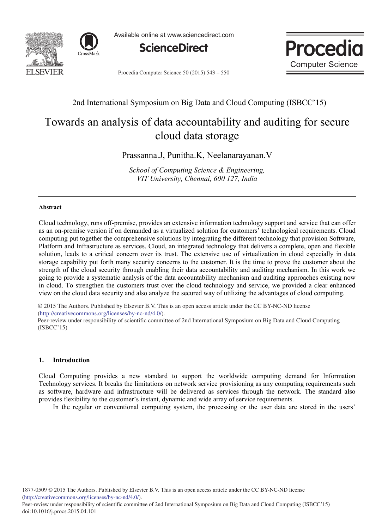



Available online at www.sciencedirect.com





Procedia Computer Science 50 (2015) 543 - 550

# 2nd International Symposium on Big Data and Cloud Computing (ISBCC'15)

# Towards an analysis of data accountability and auditing for secure cloud data storage

Prassanna.J, Punitha.K, Neelanarayanan.V

*School of Computing Science & Engineering, VIT University, Chennai, 600 127, India* 

# **Abstract**

Cloud technology, runs off-premise, provides an extensive information technology support and service that can offer as an on-premise version if on demanded as a virtualized solution for customers' technological requirements. Cloud computing put together the comprehensive solutions by integrating the different technology that provision Software, Platform and Infrastructure as services. Cloud, an integrated technology that delivers a complete, open and flexible solution, leads to a critical concern over its trust. The extensive use of virtualization in cloud especially in data storage capability put forth many security concerns to the customer. It is the time to prove the customer about the strength of the cloud security through enabling their data accountability and auditing mechanism. In this work we going to provide a systematic analysis of the data accountability mechanism and auditing approaches existing now in cloud. To strengthen the customers trust over the cloud technology and service, we provided a clear enhanced view on the cloud data security and also analyze the secured way of utilizing the advantages of cloud computing.

© 2015 The Authors. Published by Elsevier B.V. © 2015 The Authors. Published by Elsevier B.V. This is an open access article under the CC BY-NC-ND license nttp://creativecommons.org/licenses/by-nc-na/4.0/). Peer-review under responsibility of scientific committee of 2nd International Symposium on Big Data and Cloud Computing<br>CODOCULE (http://creativecommons.org/licenses/by-nc-nd/4.0/). (ISBCC'15)

# **1. Introduction**

Cloud Computing provides a new standard to support the worldwide computing demand for Information Technology services. It breaks the limitations on network service provisioning as any computing requirements such as software, hardware and infrastructure will be delivered as services through the network. The standard also provides flexibility to the customer's instant, dynamic and wide array of service requirements.

In the regular or conventional computing system, the processing or the user data are stored in the users'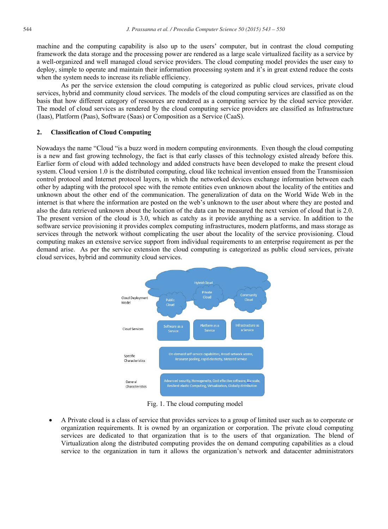machine and the computing capability is also up to the users' computer, but in contrast the cloud computing framework the data storage and the processing power are rendered as a large scale virtualized facility as a service by a well-organized and well managed cloud service providers. The cloud computing model provides the user easy to deploy, simple to operate and maintain their information processing system and it's in great extend reduce the costs when the system needs to increase its reliable efficiency.

 As per the service extension the cloud computing is categorized as public cloud services, private cloud services, hybrid and community cloud services. The models of the cloud computing services are classified as on the basis that how different category of resources are rendered as a computing service by the cloud service provider. The model of cloud services as rendered by the cloud computing service providers are classified as Infrastructure (Iaas), Platform (Paas), Software (Saas) or Composition as a Service (CaaS).

# **2. Classification of Cloud Computing**

Nowadays the name "Cloud "is a buzz word in modern computing environments. Even though the cloud computing is a new and fast growing technology, the fact is that early classes of this technology existed already before this. Earlier form of cloud with added technology and added constructs have been developed to make the present cloud system. Cloud version 1.0 is the distributed computing, cloud like technical invention ensued from the Transmission control protocol and Internet protocol layers, in which the networked devices exchange information between each other by adapting with the protocol spec with the remote entities even unknown about the locality of the entities and unknown about the other end of the communication. The generalization of data on the World Wide Web in the internet is that where the information are posted on the web's unknown to the user about where they are posted and also the data retrieved unknown about the location of the data can be measured the next version of cloud that is 2.0. The present version of the cloud is 3.0, which as catchy as it provide anything as a service. In addition to the software service provisioning it provides complex computing infrastructures, modern platforms, and mass storage as services through the network without complicating the user about the locality of the service provisioning. Cloud computing makes an extensive service support from individual requirements to an enterprise requirement as per the demand arise. As per the service extension the cloud computing is categorized as public cloud services, private cloud services, hybrid and community cloud services.



Fig. 1. The cloud computing model

• A Private cloud is a class of service that provides services to a group of limited user such as to corporate or organization requirements. It is owned by an organization or corporation. The private cloud computing services are dedicated to that organization that is to the users of that organization. The blend of Virtualization along the distributed computing provides the on demand computing capabilities as a cloud service to the organization in turn it allows the organization's network and datacenter administrators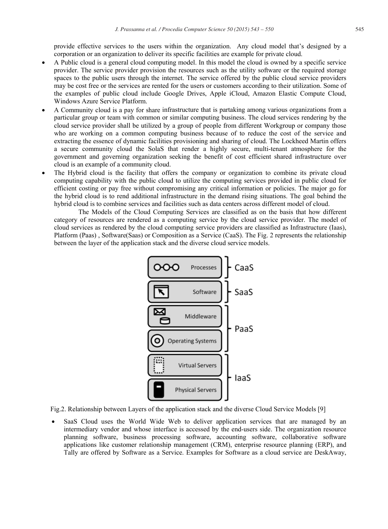provide effective services to the users within the organization. Any cloud model that's designed by a corporation or an organization to deliver its specific facilities are example for private cloud.

- x A Public cloud is a general cloud computing model. In this model the cloud is owned by a specific service provider. The service provider provision the resources such as the utility software or the required storage spaces to the public users through the internet. The service offered by the public cloud service providers may be cost free or the services are rented for the users or customers according to their utilization. Some of the examples of public cloud include Google Drives, Apple iCloud, Amazon Elastic Compute Cloud, Windows Azure Service Platform.
- A Community cloud is a pay for share infrastructure that is partaking among various organizations from a particular group or team with common or similar computing business. The cloud services rendering by the cloud service provider shall be utilized by a group of people from different Workgroup or company those who are working on a common computing business because of to reduce the cost of the service and extracting the essence of dynamic facilities provisioning and sharing of cloud. The Lockheed Martin offers a secure community cloud the SolaS that render a highly secure, multi-tenant atmosphere for the government and governing organization seeking the benefit of cost efficient shared infrastructure over cloud is an example of a community cloud.
- The Hybrid cloud is the facility that offers the company or organization to combine its private cloud computing capability with the public cloud to utilize the computing services provided in public cloud for efficient costing or pay free without compromising any critical information or policies. The major go for the hybrid cloud is to rend additional infrastructure in the demand rising situations. The goal behind the hybrid cloud is to combine services and facilities such as data centers across different model of cloud.

The Models of the Cloud Computing Services are classified as on the basis that how different category of resources are rendered as a computing service by the cloud service provider. The model of cloud services as rendered by the cloud computing service providers are classified as Infrastructure (Iaas), Platform (Paas) , Software(Saas) or Composition as a Service (CaaS). The Fig. 2 represents the relationship between the layer of the application stack and the diverse cloud service models.



Fig.2. Relationship between Layers of the application stack and the diverse Cloud Service Models [9]

SaaS Cloud uses the World Wide Web to deliver application services that are managed by an intermediary vendor and whose interface is accessed by the end-users side. The organization resource planning software, business processing software, accounting software, collaborative software applications like customer relationship management (CRM), enterprise resource planning (ERP), and Tally are offered by Software as a Service. Examples for Software as a cloud service are DeskAway,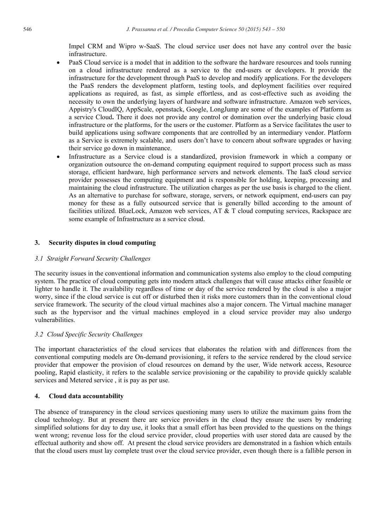Impel CRM and Wipro w-SaaS. The cloud service user does not have any control over the basic infrastructure.

- PaaS Cloud service is a model that in addition to the software the hardware resources and tools running on a cloud infrastructure rendered as a service to the end-users or developers. It provide the infrastructure for the development through PaaS to develop and modify applications. For the developers the PaaS renders the development platform, testing tools, and deployment facilities over required applications as required, as fast, as simple effortless, and as cost-effective such as avoiding the necessity to own the underlying layers of hardware and software infrastructure. Amazon web services, Appistry's CloudIQ, AppScale, openstack, Google, LongJump are some of the examples of Platform as a service Cloud**.** There it does not provide any control or domination over the underlying basic cloud infrastructure or the platforms, for the users or the customer. Platform as a Service facilitates the user to build applications using software components that are controlled by an intermediary vendor. Platform as a Service is extremely scalable, and users don't have to concern about software upgrades or having their service go down in maintenance.
- Infrastructure as a Service cloud is a standardized, provision framework in which a company or organization outsource the on-demand computing equipment required to support process such as mass storage, efficient hardware, high performance servers and network elements. The IaaS cloud service provider possesses the computing equipment and is responsible for holding, keeping, processing and maintaining the cloud infrastructure. The utilization charges as per the use basis is charged to the client. As an alternative to purchase for software, storage, servers, or network equipment, end-users can pay money for these as a fully outsourced service that is generally billed according to the amount of facilities utilized. BlueLock, Amazon web services, AT  $\&$  T cloud computing services, Rackspace are some example of Infrastructure as a service cloud.

# **3. Security disputes in cloud computing**

#### *3.1 Straight Forward Security Challenges*

The security issues in the conventional information and communication systems also employ to the cloud computing system. The practice of cloud computing gets into modern attack challenges that will cause attacks either feasible or lighter to handle it. The availability regardless of time or day of the service rendered by the cloud is also a major worry, since if the cloud service is cut off or disturbed then it risks more customers than in the conventional cloud service framework. The security of the cloud virtual machines also a major concern. The Virtual machine manager such as the hypervisor and the virtual machines employed in a cloud service provider may also undergo vulnerabilities.

#### *3.2 Cloud Specific Security Challenges*

The important characteristics of the cloud services that elaborates the relation with and differences from the conventional computing models are On-demand provisioning, it refers to the service rendered by the cloud service provider that empower the provision of cloud resources on demand by the user, Wide network access, Resource pooling, Rapid elasticity, it refers to the scalable service provisioning or the capability to provide quickly scalable services and Metered service , it is pay as per use.

#### **4. Cloud data accountability**

The absence of transparency in the cloud services questioning many users to utilize the maximum gains from the cloud technology. But at present there are service providers in the cloud they ensure the users by rendering simplified solutions for day to day use, it looks that a small effort has been provided to the questions on the things went wrong; revenue loss for the cloud service provider, cloud properties with user stored data are caused by the effectual authority and show off. At present the cloud service providers are demonstrated in a fashion which entails that the cloud users must lay complete trust over the cloud service provider, even though there is a fallible person in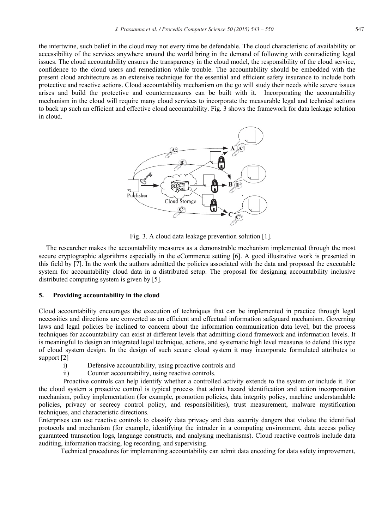the intertwine, such belief in the cloud may not every time be defendable. The cloud characteristic of availability or accessibility of the services anywhere around the world bring in the demand of following with contradicting legal issues. The cloud accountability ensures the transparency in the cloud model, the responsibility of the cloud service, confidence to the cloud users and remediation while trouble. The accountability should be embedded with the present cloud architecture as an extensive technique for the essential and efficient safety insurance to include both protective and reactive actions. Cloud accountability mechanism on the go will study their needs while severe issues arises and build the protective and countermeasures can be built with it. Incorporating the accountability mechanism in the cloud will require many cloud services to incorporate the measurable legal and technical actions to back up such an efficient and effective cloud accountability. Fig. 3 shows the framework for data leakage solution in cloud.



Fig. 3. A cloud data leakage prevention solution [1].

The researcher makes the accountability measures as a demonstrable mechanism implemented through the most secure cryptographic algorithms especially in the eCommerce setting [6]. A good illustrative work is presented in this field by [7]. In the work the authors admitted the policies associated with the data and proposed the executable system for accountability cloud data in a distributed setup. The proposal for designing accountability inclusive distributed computing system is given by [5].

### **5. Providing accountability in the cloud**

Cloud accountability encourages the execution of techniques that can be implemented in practice through legal necessities and directions are converted as an efficient and effectual information safeguard mechanism. Governing laws and legal policies be inclined to concern about the information communication data level, but the process techniques for accountability can exist at different levels that admitting cloud framework and information levels. It is meaningful to design an integrated legal technique, actions, and systematic high level measures to defend this type of cloud system design. In the design of such secure cloud system it may incorporate formulated attributes to support [2]

- i) Defensive accountability, using proactive controls and
- ii) Counter accountability, using reactive controls.

Proactive controls can help identify whether a controlled activity extends to the system or include it. For the cloud system a proactive control is typical process that admit hazard identification and action incorporation mechanism, policy implementation (for example, promotion policies, data integrity policy, machine understandable policies, privacy or secrecy control policy, and responsibilities), trust measurement, malware mystification techniques, and characteristic directions.

Enterprises can use reactive controls to classify data privacy and data security dangers that violate the identified protocols and mechanism (for example, identifying the intruder in a computing environment, data access policy guaranteed transaction logs, language constructs, and analysing mechanisms). Cloud reactive controls include data auditing, information tracking, log recording, and supervising.

Technical procedures for implementing accountability can admit data encoding for data safety improvement,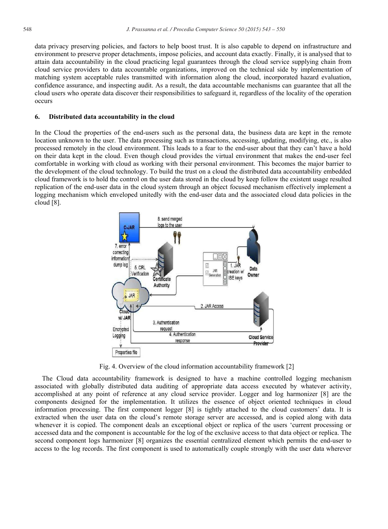data privacy preserving policies, and factors to help boost trust. It is also capable to depend on infrastructure and environment to preserve proper detachments, impose policies, and account data exactly. Finally, it is analysed that to attain data accountability in the cloud practicing legal guarantees through the cloud service supplying chain from cloud service providers to data accountable organizations, improved on the technical side by implementation of matching system acceptable rules transmitted with information along the cloud, incorporated hazard evaluation, confidence assurance, and inspecting audit. As a result, the data accountable mechanisms can guarantee that all the cloud users who operate data discover their responsibilities to safeguard it, regardless of the locality of the operation occurs

#### **6. Distributed data accountability in the cloud**

In the Cloud the properties of the end-users such as the personal data, the business data are kept in the remote location unknown to the user. The data processing such as transactions, accessing, updating, modifying, etc., is also processed remotely in the cloud environment. This leads to a fear to the end-user about that they can't have a hold on their data kept in the cloud. Even though cloud provides the virtual environment that makes the end-user feel comfortable in working with cloud as working with their personal environment. This becomes the major barrier to the development of the cloud technology. To build the trust on a cloud the distributed data accountability embedded cloud framework is to hold the control on the user data stored in the cloud by keep follow the existent usage resulted replication of the end-user data in the cloud system through an object focused mechanism effectively implement a logging mechanism which enveloped unitedly with the end-user data and the associated cloud data policies in the cloud [8].



Fig. 4. Overview of the cloud information accountability framework [2]

The Cloud data accountability framework is designed to have a machine controlled logging mechanism associated with globally distributed data auditing of appropriate data access executed by whatever activity, accomplished at any point of reference at any cloud service provider. Logger and log harmonizer [8] are the components designed for the implementation. It utilizes the essence of object oriented techniques in cloud information processing. The first component logger [8] is tightly attached to the cloud customers' data. It is extracted when the user data on the cloud's remote storage server are accessed, and is copied along with data whenever it is copied. The component deals an exceptional object or replica of the users 'current processing or accessed data and the component is accountable for the log of the exclusive access to that data object or replica. The second component logs harmonizer [8] organizes the essential centralized element which permits the end-user to access to the log records. The first component is used to automatically couple strongly with the user data wherever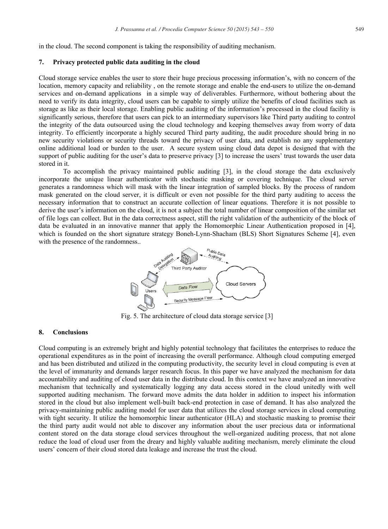in the cloud. The second component is taking the responsibility of auditing mechanism.

#### **7. Privacy protected public data auditing in the cloud**

Cloud storage service enables the user to store their huge precious processing information's, with no concern of the location, memory capacity and reliability , on the remote storage and enable the end-users to utilize the on-demand services and on-demand applications in a simple way of deliverables. Furthermore, without bothering about the need to verify its data integrity, cloud users can be capable to simply utilize the benefits of cloud facilities such as storage as like as their local storage. Enabling public auditing of the information's processed in the cloud facility is significantly serious, therefore that users can pick to an intermediary supervisors like Third party auditing to control the integrity of the data outsourced using the cloud technology and keeping themselves away from worry of data integrity. To efficiently incorporate a highly secured Third party auditing, the audit procedure should bring in no new security violations or security threads toward the privacy of user data, and establish no any supplementary online additional load or burden to the user. A secure system using cloud data depot is designed that with the support of public auditing for the user's data to preserve privacy [3] to increase the users' trust towards the user data stored in it.

To accomplish the privacy maintained public auditing [3], in the cloud storage the data exclusively incorporate the unique linear authenticator with stochastic masking or covering technique. The cloud server generates a randomness which will mask with the linear integration of sampled blocks. By the process of random mask generated on the cloud server, it is difficult or even not possible for the third party auditing to access the necessary information that to construct an accurate collection of linear equations. Therefore it is not possible to derive the user's information on the cloud, it is not a subject the total number of linear composition of the similar set of file logs can collect. But in the data correctness aspect, still the right validation of the authenticity of the block of data be evaluated in an innovative manner that apply the Homomorphic Linear Authentication proposed in [4], which is founded on the short signature strategy Boneh-Lynn-Shacham (BLS) Short Signatures Scheme [4], even with the presence of the randomness..



Fig. 5. The architecture of cloud data storage service [3]

#### **8. Conclusions**

Cloud computing is an extremely bright and highly potential technology that facilitates the enterprises to reduce the operational expenditures as in the point of increasing the overall performance. Although cloud computing emerged and has been distributed and utilized in the computing productivity, the security level in cloud computing is even at the level of immaturity and demands larger research focus. In this paper we have analyzed the mechanism for data accountability and auditing of cloud user data in the distribute cloud. In this context we have analyzed an innovative mechanism that technically and systematically logging any data access stored in the cloud unitedly with well supported auditing mechanism. The forward move admits the data holder in addition to inspect his information stored in the cloud but also implement well-built back-end protection in case of demand. It has also analyzed the privacy-maintaining public auditing model for user data that utilizes the cloud storage services in cloud computing with tight security. It utilize the homomorphic linear authenticator (HLA) and stochastic masking to promise their the third party audit would not able to discover any information about the user precious data or informational content stored on the data storage cloud services throughout the well-organized auditing process, that not alone reduce the load of cloud user from the dreary and highly valuable auditing mechanism, merely eliminate the cloud users' concern of their cloud stored data leakage and increase the trust the cloud.